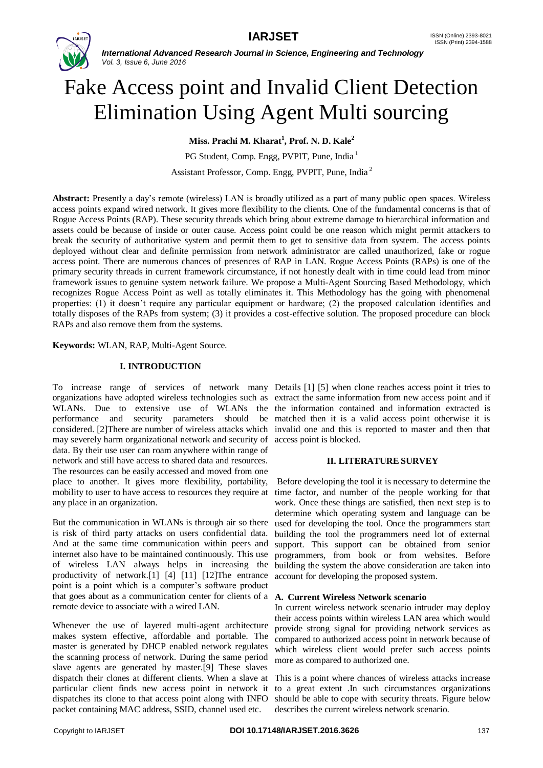

# Fake Access point and Invalid Client Detection Elimination Using Agent Multi sourcing

**Miss. Prachi M. Kharat<sup>1</sup> , Prof. N. D. Kale<sup>2</sup>**

PG Student, Comp. Engg, PVPIT, Pune, India<sup>1</sup>

Assistant Professor, Comp. Engg, PVPIT, Pune, India <sup>2</sup>

**Abstract:** Presently a day's remote (wireless) LAN is broadly utilized as a part of many public open spaces. Wireless access points expand wired network. It gives more flexibility to the clients. One of the fundamental concerns is that of Rogue Access Points (RAP). These security threads which bring about extreme damage to hierarchical information and assets could be because of inside or outer cause. Access point could be one reason which might permit attackers to break the security of authoritative system and permit them to get to sensitive data from system. The access points deployed without clear and definite permission from network administrator are called unauthorized, fake or rogue access point. There are numerous chances of presences of RAP in LAN. Rogue Access Points (RAPs) is one of the primary security threads in current framework circumstance, if not honestly dealt with in time could lead from minor framework issues to genuine system network failure. We propose a Multi-Agent Sourcing Based Methodology, which recognizes Rogue Access Point as well as totally eliminates it. This Methodology has the going with phenomenal properties: (1) it doesn't require any particular equipment or hardware; (2) the proposed calculation identifies and totally disposes of the RAPs from system; (3) it provides a cost-effective solution. The proposed procedure can block RAPs and also remove them from the systems.

**Keywords:** WLAN, RAP, Multi-Agent Source.

# **I. INTRODUCTION**

To increase range of services of network many Details [1] [5] when clone reaches access point it tries to organizations have adopted wireless technologies such as extract the same information from new access point and if WLANs. Due to extensive use of WLANs the the information contained and information extracted is performance and security parameters should be matched then it is a valid access point otherwise it is considered. [2]There are number of wireless attacks which invalid one and this is reported to master and then that may severely harm organizational network and security of access point is blocked. data. By their use user can roam anywhere within range of network and still have access to shared data and resources. The resources can be easily accessed and moved from one place to another. It gives more flexibility, portability, mobility to user to have access to resources they require at any place in an organization.

But the communication in WLANs is through air so there is risk of third party attacks on users confidential data. And at the same time communication within peers and internet also have to be maintained continuously. This use of wireless LAN always helps in increasing the building the system the above consideration are taken into productivity of network.[1] [4] [11] [12]The entrance point is a point which is a computer's software product that goes about as a communication center for clients of a **A. Current Wireless Network scenario** remote device to associate with a wired LAN.

Whenever the use of layered multi-agent architecture makes system effective, affordable and portable. The master is generated by DHCP enabled network regulates the scanning process of network. During the same period slave agents are generated by master.[9] These slaves dispatch their clones at different clients. When a slave at particular client finds new access point in network it to a great extent .In such circumstances organizations packet containing MAC address, SSID, channel used etc.

### **II. LITERATURE SURVEY**

Before developing the tool it is necessary to determine the time factor, and number of the people working for that work. Once these things are satisfied, then next step is to determine which operating system and language can be used for developing the tool. Once the programmers start building the tool the programmers need lot of external support. This support can be obtained from senior programmers, from book or from websites. Before account for developing the proposed system.

In current wireless network scenario intruder may deploy their access points within wireless LAN area which would provide strong signal for providing network services as compared to authorized access point in network because of which wireless client would prefer such access points more as compared to authorized one.

dispatches its clone to that access point along with INFO should be able to cope with security threats. Figure below This is a point where chances of wireless attacks increase describes the current wireless network scenario.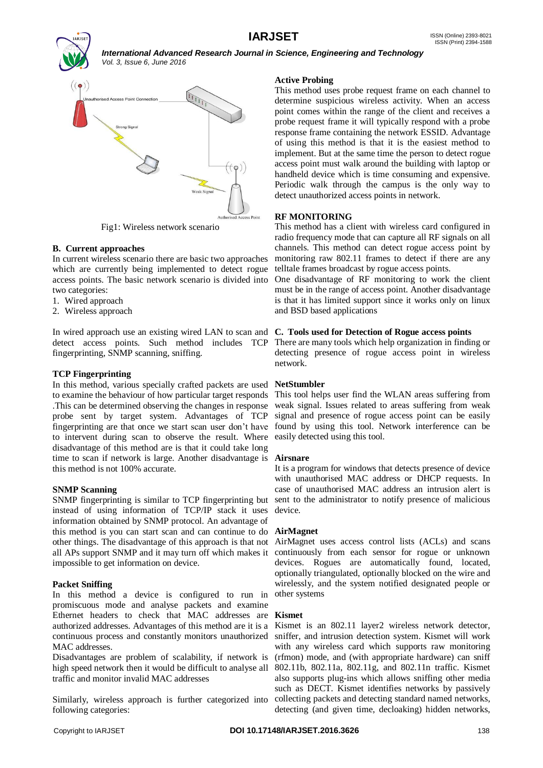



Fig1: Wireless network scenario

# **B. Current approaches**

In current wireless scenario there are basic two approaches which are currently being implemented to detect rogue access points. The basic network scenario is divided into two categories:

- 1. Wired approach
- 2. Wireless approach

In wired approach use an existing wired LAN to scan and **C. Tools used for Detection of Rogue access points** detect access points. Such method includes TCP There are many tools which help organization in finding or fingerprinting, SNMP scanning, sniffing.

# **TCP Fingerprinting**

In this method, various specially crafted packets are used **NetStumbler** to examine the behaviour of how particular target responds This tool helps user find the WLAN areas suffering from .This can be determined observing the changes in response weak signal. Issues related to areas suffering from weak probe sent by target system. Advantages of TCP fingerprinting are that once we start scan user don't have found by using this tool. Network interference can be to intervent during scan to observe the result. Where disadvantage of this method are is that it could take long time to scan if network is large. Another disadvantage is this method is not 100% accurate.

# **SNMP Scanning**

SNMP fingerprinting is similar to TCP fingerprinting but instead of using information of TCP/IP stack it uses information obtained by SNMP protocol. An advantage of this method is you can start scan and can continue to do other things. The disadvantage of this approach is that not all APs support SNMP and it may turn off which makes it impossible to get information on device.

# **Packet Sniffing**

In this method a device is configured to run in promiscuous mode and analyse packets and examine Ethernet headers to check that MAC addresses are **Kismet** authorized addresses. Advantages of this method are it is a Kismet is an 802.11 layer2 wireless network detector, continuous process and constantly monitors unauthorized MAC addresses.

Disadvantages are problem of scalability, if network is high speed network then it would be difficult to analyse all traffic and monitor invalid MAC addresses

Similarly, wireless approach is further categorized into following categories:

# **Active Probing**

This method uses probe request frame on each channel to determine suspicious wireless activity. When an access point comes within the range of the client and receives a probe request frame it will typically respond with a probe response frame containing the network ESSID. Advantage of using this method is that it is the easiest method to implement. But at the same time the person to detect rogue access point must walk around the building with laptop or handheld device which is time consuming and expensive. Periodic walk through the campus is the only way to detect unauthorized access points in network.

# **RF MONITORING**

This method has a client with wireless card configured in radio frequency mode that can capture all RF signals on all channels. This method can detect rogue access point by monitoring raw 802.11 frames to detect if there are any telltale frames broadcast by rogue access points.

One disadvantage of RF monitoring to work the client must be in the range of access point. Another disadvantage is that it has limited support since it works only on linux and BSD based applications

detecting presence of rogue access point in wireless network.

signal and presence of rogue access point can be easily easily detected using this tool.

### **Airsnare**

It is a program for windows that detects presence of device with unauthorised MAC address or DHCP requests. In case of unauthorised MAC address an intrusion alert is sent to the administrator to notify presence of malicious device.

# **AirMagnet**

AirMagnet uses access control lists (ACLs) and scans continuously from each sensor for rogue or unknown devices. Rogues are automatically found, located, optionally triangulated, optionally blocked on the wire and wirelessly, and the system notified designated people or other systems

sniffer, and intrusion detection system. Kismet will work with any wireless card which supports raw monitoring (rfmon) mode, and (with appropriate hardware) can sniff 802.11b, 802.11a, 802.11g, and 802.11n traffic. Kismet also supports plug-ins which allows sniffing other media such as DECT. Kismet identifies networks by passively collecting packets and detecting standard named networks, detecting (and given time, decloaking) hidden networks,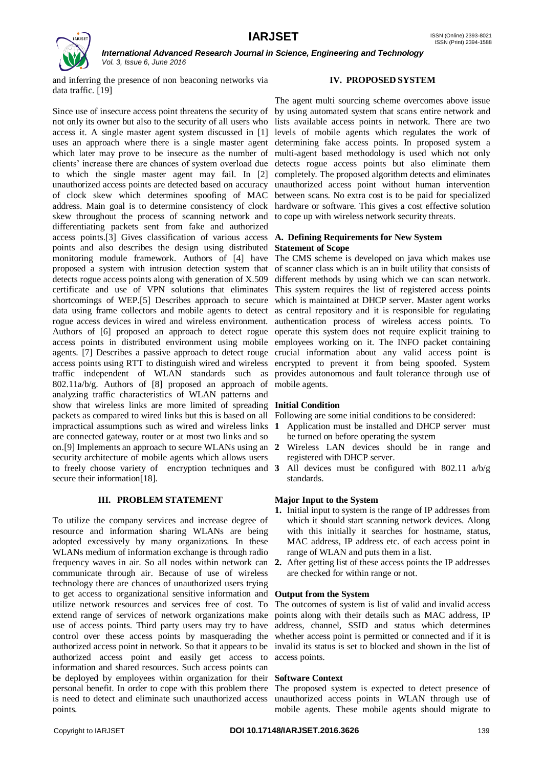

and inferring the presence of non beaconing networks via data traffic. [19]

Since use of insecure access point threatens the security of by using automated system that scans entire network and not only its owner but also to the security of all users who lists available access points in network. There are two access it. A single master agent system discussed in [1] levels of mobile agents which regulates the work of uses an approach where there is a single master agent determining fake access points. In proposed system a which later may prove to be insecure as the number of multi-agent based methodology is used which not only clients' increase there are chances of system overload due detects rogue access points but also eliminate them to which the single master agent may fail. In [2] completely. The proposed algorithm detects and eliminates unauthorized access points are detected based on accuracy unauthorized access point without human intervention of clock skew which determines spoofing of MAC between scans. No extra cost is to be paid for specialized address. Main goal is to determine consistency of clock hardware or software. This gives a cost effective solution skew throughout the process of scanning network and to cope up with wireless network security threats. differentiating packets sent from fake and authorized access points.[3] Gives classification of various access **A. Defining Requirements for New System** points and also describes the design using distributed **Statement of Scope** monitoring module framework. Authors of [4] have The CMS scheme is developed on java which makes use proposed a system with intrusion detection system that of scanner class which is an in built utility that consists of detects rogue access points along with generation of X.509 different methods by using which we can scan network. certificate and use of VPN solutions that eliminates shortcomings of WEP.[5] Describes approach to secure data using frame collectors and mobile agents to detect rogue access devices in wired and wireless environment. Authors of [6] proposed an approach to detect rogue access points in distributed environment using mobile agents. [7] Describes a passive approach to detect rouge access points using RTT to distinguish wired and wireless traffic independent of WLAN standards such as 802.11a/b/g. Authors of [8] proposed an approach of analyzing traffic characteristics of WLAN patterns and show that wireless links are more limited of spreading **Initial Condition** packets as compared to wired links but this is based on all Following are some initial conditions to be considered: impractical assumptions such as wired and wireless links **1** Application must be installed and DHCP server must are connected gateway, router or at most two links and so on.[9] Implements an approach to secure WLANs using an security architecture of mobile agents which allows users to freely choose variety of encryption techniques and 3 secure their information[18].

# **III. PROBLEM STATEMENT**

To utilize the company services and increase degree of resource and information sharing WLANs are being adopted excessively by many organizations. In these WLANs medium of information exchange is through radio frequency waves in air. So all nodes within network can communicate through air. Because of use of wireless technology there are chances of unauthorized users trying to get access to organizational sensitive information and utilize network resources and services free of cost. To extend range of services of network organizations make use of access points. Third party users may try to have control over these access points by masquerading the whether access point is permitted or connected and if it is authorized access point in network. So that it appears to be invalid its status is set to blocked and shown in the list of authorized access point and easily get access to access points. information and shared resources. Such access points can be deployed by employees within organization for their **Software Context** points.

# **IV. PROPOSED SYSTEM**

The agent multi sourcing scheme overcomes above issue

This system requires the list of registered access points which is maintained at DHCP server. Master agent works as central repository and it is responsible for regulating authentication process of wireless access points. To operate this system does not require explicit training to employees working on it. The INFO packet containing crucial information about any valid access point is encrypted to prevent it from being spoofed. System provides autonomous and fault tolerance through use of mobile agents.

- be turned on before operating the system
- **2** Wireless LAN devices should be in range and registered with DHCP server.
- **3** All devices must be configured with 802.11 a/b/g standards.

### **Major Input to the System**

- **1.** Initial input to system is the range of IP addresses from which it should start scanning network devices. Along with this initially it searches for hostname, status, MAC address, IP address etc. of each access point in range of WLAN and puts them in a list.
- **2.** After getting list of these access points the IP addresses are checked for within range or not.

### **Output from the System**

The outcomes of system is list of valid and invalid access points along with their details such as MAC address, IP address, channel, SSID and status which determines

personal benefit. In order to cope with this problem there The proposed system is expected to detect presence of is need to detect and eliminate such unauthorized access unauthorized access points in WLAN through use of mobile agents. These mobile agents should migrate to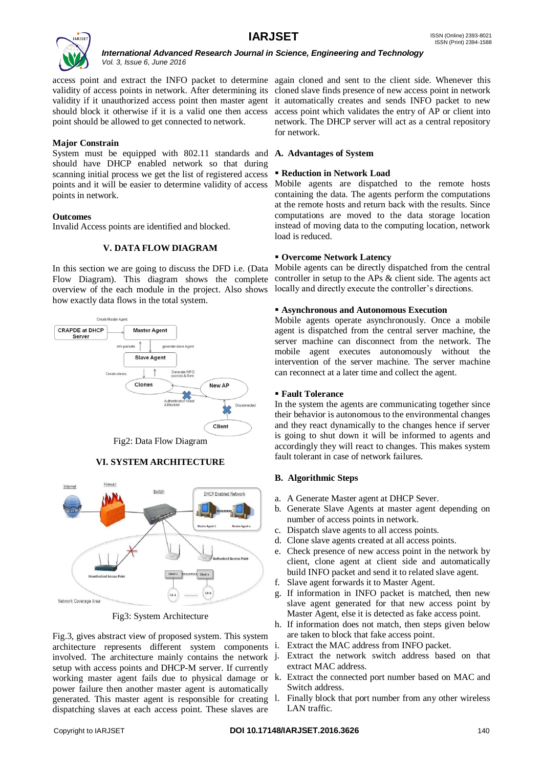

access point and extract the INFO packet to determine again cloned and sent to the client side. Whenever this validity of access points in network. After determining its cloned slave finds presence of new access point in network validity if it unauthorized access point then master agent it automatically creates and sends INFO packet to new should block it otherwise if it is a valid one then access access point which validates the entry of AP or client into point should be allowed to get connected to network.

### **Major Constrain**

System must be equipped with 802.11 standards and **A. Advantages of System** should have DHCP enabled network so that during scanning initial process we get the list of registered access points and it will be easier to determine validity of access points in network.

### **Outcomes**

Invalid Access points are identified and blocked.

### **V. DATA FLOW DIAGRAM**

Flow Diagram). This diagram shows the complete overview of the each module in the project. Also shows how exactly data flows in the total system.



Fig2: Data Flow Diagram

### **VI. SYSTEM ARCHITECTURE**



Fig3: System Architecture

Fig.3, gives abstract view of proposed system. This system architecture represents different system components involved. The architecture mainly contains the network setup with access points and DHCP-M server. If currently working master agent fails due to physical damage or k. Extract the connected port number based on MAC and power failure then another master agent is automatically generated. This master agent is responsible for creating dispatching slaves at each access point. These slaves are

network. The DHCP server will act as a central repository for network.

#### **Reduction in Network Load**

Mobile agents are dispatched to the remote hosts containing the data. The agents perform the computations at the remote hosts and return back with the results. Since computations are moved to the data storage location instead of moving data to the computing location, network load is reduced.

### **Overcome Network Latency**

In this section we are going to discuss the DFD i.e. (Data Mobile agents can be directly dispatched from the central controller in setup to the APs & client side. The agents act locally and directly execute the controller's directions.

### **Asynchronous and Autonomous Execution**

Mobile agents operate asynchronously. Once a mobile agent is dispatched from the central server machine, the server machine can disconnect from the network. The mobile agent executes autonomously without the intervention of the server machine. The server machine can reconnect at a later time and collect the agent.

### **Fault Tolerance**

In the system the agents are communicating together since their behavior is autonomous to the environmental changes and they react dynamically to the changes hence if server is going to shut down it will be informed to agents and accordingly they will react to changes. This makes system fault tolerant in case of network failures.

### **B. Algorithmic Steps**

- a. A Generate Master agent at DHCP Sever.
- b. Generate Slave Agents at master agent depending on number of access points in network.
- c. Dispatch slave agents to all access points.
- d. Clone slave agents created at all access points.
- e. Check presence of new access point in the network by client, clone agent at client side and automatically build INFO packet and send it to related slave agent.
- f. Slave agent forwards it to Master Agent.
- g. If information in INFO packet is matched, then new slave agent generated for that new access point by Master Agent, else it is detected as fake access point.
- h. If information does not match, then steps given below are taken to block that fake access point.
- Extract the MAC address from INFO packet.
- Extract the network switch address based on that extract MAC address.
- Switch address.
- l. Finally block that port number from any other wireless LAN traffic.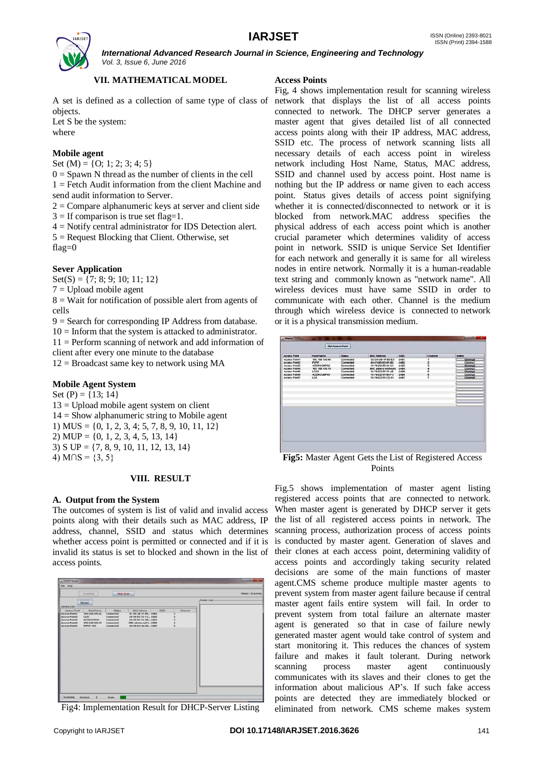

# **VII. MATHEMATICAL MODEL**

A set is defined as a collection of same type of class of network that displays the list of all access points objects. Let S be the system:

where

# **Mobile agent**

Set  $(M) = \{O; 1; 2; 3; 4; 5\}$ 

 $0 =$  Spawn N thread as the number of clients in the cell 1 = Fetch Audit information from the client Machine and send audit information to Server.

 $2 =$ Compare alphanumeric keys at server and client side

 $3 =$  If comparison is true set flag=1.

4 = Notify central administrator for IDS Detection alert.

 $5 =$  Request Blocking that Client. Otherwise, set flag=0

### **Sever Application**

 $Set(S) = \{7; 8; 9; 10; 11; 12\}$ 

 $7 =$  Upload mobile agent

 $8 =$  Wait for notification of possible alert from agents of cells

 $9 =$  Search for corresponding IP Address from database.  $10 =$  Inform that the system is attacked to administrator.  $11$  = Perform scanning of network and add information of client after every one minute to the database

 $12$  = Broadcast same key to network using MA

### **Mobile Agent System**

Set  $(P) = \{13; 14\}$ 13 = Upload mobile agent system on client  $14 =$  Show alphanumeric string to Mobile agent 1) MUS = {0, 1, 2, 3, 4; 5, 7, 8, 9, 10, 11, 12} 2) MUP = {0, 1, 2, 3, 4, 5, 13, 14} 3) S UP = {7, 8, 9, 10, 11, 12, 13, 14} 4) M $\cap$ S = {3, 5}

### **VIII. RESULT**

### **A. Output from the System**

The outcomes of system is list of valid and invalid access points along with their details such as MAC address, IP address, channel, SSID and status which determines whether access point is permitted or connected and if it is invalid its status is set to blocked and shown in the list of access points.

| <b>Stop Scan</b><br>Scanning<br>r Folder List-<br>Master<br>Device List:-<br><b>SSID</b><br>Channel<br><b>Access Point</b><br>Host Name<br>Status<br><b>MAC Adress</b><br><b>Access Point1</b><br>Connected<br>3C-09-28-1F-85 LAB1<br>192, 168, 100, 46<br><b>Access Point2</b><br>Connected<br>1621<br>10-78-02-51-F1  LAB2<br><b>Access Point3</b><br><b>ACERCOMP65</b><br>Connected<br>10-78-D2-51-BA., LAB3<br>MAC adress not f., LAB4<br><b>Access Point4</b><br>192.168.100.10<br>Connected<br><b>Access PointS</b><br>Connected<br>10-78-02-46-00. LABS<br>PVPIT-TPO | File Holp |  |  |  |                   |
|-----------------------------------------------------------------------------------------------------------------------------------------------------------------------------------------------------------------------------------------------------------------------------------------------------------------------------------------------------------------------------------------------------------------------------------------------------------------------------------------------------------------------------------------------------------------------------|-----------|--|--|--|-------------------|
|                                                                                                                                                                                                                                                                                                                                                                                                                                                                                                                                                                             |           |  |  |  | Status : Scanning |
|                                                                                                                                                                                                                                                                                                                                                                                                                                                                                                                                                                             |           |  |  |  |                   |
|                                                                                                                                                                                                                                                                                                                                                                                                                                                                                                                                                                             |           |  |  |  |                   |
|                                                                                                                                                                                                                                                                                                                                                                                                                                                                                                                                                                             |           |  |  |  |                   |
|                                                                                                                                                                                                                                                                                                                                                                                                                                                                                                                                                                             |           |  |  |  |                   |
|                                                                                                                                                                                                                                                                                                                                                                                                                                                                                                                                                                             |           |  |  |  |                   |

Fig4: Implementation Result for DHCP-Server Listing

### **Access Points**

Fig, 4 shows implementation result for scanning wireless connected to network. The DHCP server generates a master agent that gives detailed list of all connected access points along with their IP address, MAC address, SSID etc. The process of network scanning lists all necessary details of each access point in wireless network including Host Name, Status, MAC address, SSID and channel used by access point. Host name is nothing but the IP address or name given to each access point. Status gives details of access point signifying whether it is connected/disconnected to network or it is blocked from network.MAC address specifies the physical address of each access point which is another crucial parameter which determines validity of access point in network. SSID is unique Service Set Identifier for each network and generally it is same for all wireless nodes in entire network. Normally it is a human-readable text string and commonly known as "network name". All wireless devices must have same SSID in order to communicate with each other. Channel is the medium through which wireless device is connected to network or it is a physical transmission medium.

| <b>Host Name</b><br>192 168 100.46<br>PVPIT<br>ACERCOMP22<br>192 188 100 10<br><b>LG18</b><br><b>ACERCOMP65</b><br>1.01 | <b>Shahus</b><br>Connected<br>Connected<br>Connected<br>Connected<br>Connected<br>Connected<br>Connected | <b>MAC Address</b><br>3C-D9-2B-1F-B5-E3<br>40-51-86-00-67-80<br>10-78-02-55-05-E3<br>MAC adress not found<br>10-78-02-51-76-48<br>10-78-02-51-BAF3<br>10-78-02-51-CE-01 | 550<br>LAB1<br><b>LAB2</b><br>LARS<br>LABA<br>LABS<br><b>LAB6</b><br>LABY | Channel<br>$\overline{ }$<br>s<br>٠<br>s<br>۸<br>٠ | <b>Button</b><br>Clorenco<br>Clonings<br>Clorens2<br>Cloning3<br>Cloning<br>Cloningh<br>Cloning6 |
|-------------------------------------------------------------------------------------------------------------------------|----------------------------------------------------------------------------------------------------------|-------------------------------------------------------------------------------------------------------------------------------------------------------------------------|---------------------------------------------------------------------------|----------------------------------------------------|--------------------------------------------------------------------------------------------------|
|                                                                                                                         |                                                                                                          |                                                                                                                                                                         |                                                                           |                                                    |                                                                                                  |
|                                                                                                                         |                                                                                                          |                                                                                                                                                                         |                                                                           |                                                    |                                                                                                  |
|                                                                                                                         |                                                                                                          |                                                                                                                                                                         |                                                                           |                                                    |                                                                                                  |
|                                                                                                                         |                                                                                                          |                                                                                                                                                                         |                                                                           |                                                    |                                                                                                  |
|                                                                                                                         |                                                                                                          |                                                                                                                                                                         |                                                                           |                                                    |                                                                                                  |
|                                                                                                                         |                                                                                                          |                                                                                                                                                                         |                                                                           |                                                    |                                                                                                  |
|                                                                                                                         |                                                                                                          |                                                                                                                                                                         |                                                                           |                                                    |                                                                                                  |
|                                                                                                                         |                                                                                                          |                                                                                                                                                                         |                                                                           |                                                    |                                                                                                  |
|                                                                                                                         |                                                                                                          |                                                                                                                                                                         |                                                                           |                                                    |                                                                                                  |
|                                                                                                                         |                                                                                                          |                                                                                                                                                                         |                                                                           |                                                    |                                                                                                  |

**Fig5:** Master Agent Gets the List of Registered Access Points

Fig.5 shows implementation of master agent listing registered access points that are connected to network. When master agent is generated by DHCP server it gets the list of all registered access points in network. The scanning process, authorization process of access points is conducted by master agent. Generation of slaves and their clones at each access point, determining validity of access points and accordingly taking security related decisions are some of the main functions of master agent.CMS scheme produce multiple master agents to prevent system from master agent failure because if central master agent fails entire system will fail. In order to prevent system from total failure an alternate master agent is generated so that in case of failure newly generated master agent would take control of system and start monitoring it. This reduces the chances of system failure and makes it fault tolerant. During network scanning process master agent continuously communicates with its slaves and their clones to get the information about malicious AP's. If such fake access points are detected they are immediately blocked or eliminated from network. CMS scheme makes system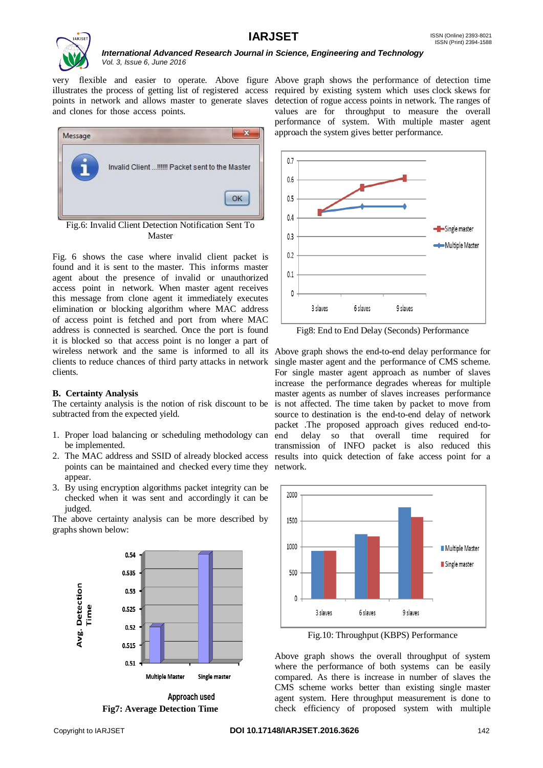

very flexible and easier to operate. Above figure Above graph shows the performance of detection time points in network and allows master to generate slaves detection of rogue access points in network. The ranges of and clones for those access points.



Fig.6: Invalid Client Detection Notification Sent To Master

Fig. 6 shows the case where invalid client packet is found and it is sent to the master. This informs master agent about the presence of invalid or unauthorized access point in network. When master agent receives this message from clone agent it immediately executes elimination or blocking algorithm where MAC address of access point is fetched and port from where MAC address is connected is searched. Once the port is found it is blocked so that access point is no longer a part of wireless network and the same is informed to all its Above graph shows the end-to-end delay performance for clients to reduce chances of third party attacks in network clients.

# **B. Certainty Analysis**

The certainty analysis is the notion of risk discount to be subtracted from the expected yield.

- 1. Proper load balancing or scheduling methodology can be implemented.
- 2. The MAC address and SSID of already blocked access points can be maintained and checked every time they network. appear.
- 3. By using encryption algorithms packet integrity can be checked when it was sent and accordingly it can be judged.

The above certainty analysis can be more described by graphs shown below:



**Fig7: Average Detection Time**

illustrates the process of getting list of registered access required by existing system which uses clock skews for values are for throughput to measure the overall performance of system. With multiple master agent approach the system gives better performance.



Fig8: End to End Delay (Seconds) Performance

single master agent and the performance of CMS scheme. For single master agent approach as number of slaves increase the performance degrades whereas for multiple master agents as number of slaves increases performance is not affected. The time taken by packet to move from source to destination is the end-to-end delay of network packet .The proposed approach gives reduced end-toend delay so that overall time required for transmission of INFO packet is also reduced this results into quick detection of fake access point for a



Fig.10: Throughput (KBPS) Performance

Above graph shows the overall throughput of system where the performance of both systems can be easily compared. As there is increase in number of slaves the CMS scheme works better than existing single master agent system. Here throughput measurement is done to check efficiency of proposed system with multiple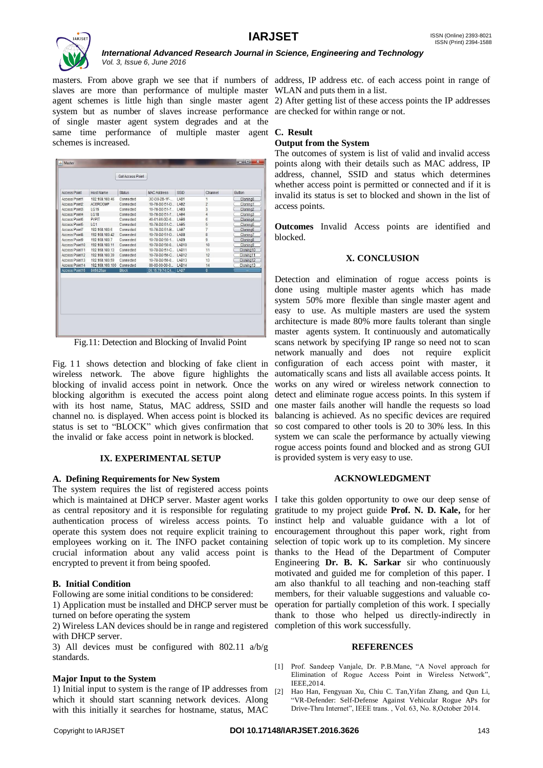

slaves are more than performance of multiple master WLAN and puts them in a list. system but as number of slaves increase performance are checked for within range or not. of single master agent system degrades and at the same time performance of multiple master agent **C. Result** schemes is increased.

|                      | Host Name       | Status       | <b>MAC Address</b>      | SSID             | Channel        | Button    |
|----------------------|-----------------|--------------|-------------------------|------------------|----------------|-----------|
| Access Point1        | 192.168.100.46  | Connected    | 3C-D9-2B-1F-            | LAB1             | 1              | Cloning0  |
| Access Point2        | <b>ACERCOMP</b> | Connected    | 10-78-D2-51-D., LAB2    |                  | $\overline{2}$ | Cloning1  |
| Access Point3        | <b>LG16</b>     | Connected    | 10-78-D2-51-7           | LAB <sub>3</sub> | 3              | Cloning2  |
| Access Point4        | <b>LG18</b>     | Connected    | 10-78-D2-51-7 LAB4      |                  | $\overline{4}$ | Cloning3  |
| <b>Access Point6</b> | <b>PVPIT</b>    | Connected    | 40-61-86-0D-6. LAB6     |                  | $\mathbf{6}$   | Cloning4  |
| Access Point5        | LG1             | Connected    | 10-78-D2-51-C., LAB5    |                  | 5              | Cloning5  |
| Access Point7        | 192 168 100 6   | Connected    | 10-78-D2-51-B           | LAB7             | $\overline{7}$ | Cloning6  |
| Access Point8        | 192.168.100.42  | Connected    | 10-78-D2-51-D. LAB8     |                  | 8              | Cloning7  |
| Access Point9        | 192.168.100.7   | Connected    | 10-78-D2-56-1           | LAB9             | $\overline{9}$ | Cloning8  |
| Access Point10       | 192.168.100.11  | Connected    | 10-78-D2-56-0           | LAB10            | 10             | Cloning9  |
| Access Point11       | 192.168.100.13  | Connected    | 10-78-D2-51-C           | <b>LAB11</b>     | 11             | Cloning10 |
| Access Point12       | 192 168 100 39  | Connected    | 10-78-D2-56-C., LAB12   |                  | 12             | Cloning11 |
| Access Point13       | 192.168.100.59  | Connected    | $10 - 78 - 02 - 56 - 0$ | LAB13            | 13             | Cloning12 |
| Access Point14       | 192.168.100.100 | Connected    | $00 - 00 - 00 - 00 - 0$ | <b>LAB14</b>     | 14             | Cloning13 |
| Access Point15       | 845625ae        | <b>Block</b> | 06:15:79:74:C4 LAB7     |                  | 8              |           |

Fig.11: Detection and Blocking of Invalid Point

Fig. 11 shows detection and blocking of fake client in wireless network. The above figure highlights the blocking of invalid access point in network. Once the blocking algorithm is executed the access point along with its host name, Status, MAC address, SSID and channel no. is displayed. When access point is blocked its status is set to "BLOCK" which gives confirmation that the invalid or fake access point in network is blocked.

# **IX. EXPERIMENTAL SETUP**

### **A. Defining Requirements for New System**

The system requires the list of registered access points which is maintained at DHCP server. Master agent works I take this golden opportunity to owe our deep sense of as central repository and it is responsible for regulating authentication process of wireless access points. To operate this system does not require explicit training to employees working on it. The INFO packet containing crucial information about any valid access point is encrypted to prevent it from being spoofed.

# **B. Initial Condition**

Following are some initial conditions to be considered:

1) Application must be installed and DHCP server must be turned on before operating the system

2) Wireless LAN devices should be in range and registered completion of this work successfully. with DHCP server.

3) All devices must be configured with 802.11 a/b/g standards.

### **Major Input to the System**

1) Initial input to system is the range of IP addresses from  $_{[2]}$ which it should start scanning network devices. Along with this initially it searches for hostname, status, MAC

masters. From above graph we see that if numbers of address, IP address etc. of each access point in range of

agent schemes is little high than single master agent 2) After getting list of these access points the IP addresses

### **Output from the System**

The outcomes of system is list of valid and invalid access points along with their details such as MAC address, IP address, channel, SSID and status which determines whether access point is permitted or connected and if it is invalid its status is set to blocked and shown in the list of access points.

**Outcomes** Invalid Access points are identified and blocked.

### **X. CONCLUSION**

Detection and elimination of rogue access points is done using multiple master agents which has made system 50% more flexible than single master agent and easy to use. As multiple masters are used the system architecture is made 80% more faults tolerant than single master agents system. It continuously and automatically scans network by specifying IP range so need not to scan network manually and does not require explicit configuration of each access point with master, it automatically scans and lists all available access points. It works on any wired or wireless network connection to detect and eliminate rogue access points. In this system if one master fails another will handle the requests so load balancing is achieved. As no specific devices are required so cost compared to other tools is 20 to 30% less. In this system we can scale the performance by actually viewing rogue access points found and blocked and as strong GUI is provided system is very easy to use.

### **ACKNOWLEDGMENT**

gratitude to my project guide **Prof. N. D. Kale,** for her instinct help and valuable guidance with a lot of encouragement throughout this paper work, right from selection of topic work up to its completion. My sincere thanks to the Head of the Department of Computer Engineering **Dr. B. K. Sarkar** sir who continuously motivated and guided me for completion of this paper. I am also thankful to all teaching and non-teaching staff members, for their valuable suggestions and valuable cooperation for partially completion of this work. I specially thank to those who helped us directly-indirectly in

#### **REFERENCES**

- [1] Prof. Sandeep Vanjale, Dr. P.B.Mane, "A Novel approach for Elimination of Rogue Access Point in Wireless Network", IEEE,2014.
- Hao Han, Fengyuan Xu, Chiu C. Tan,Yifan Zhang, and Qun Li, "VR-Defender: Self-Defense Against Vehicular Rogue APs for Drive-Thru Internet", IEEE trans. , Vol. 63, No. 8,October 2014.